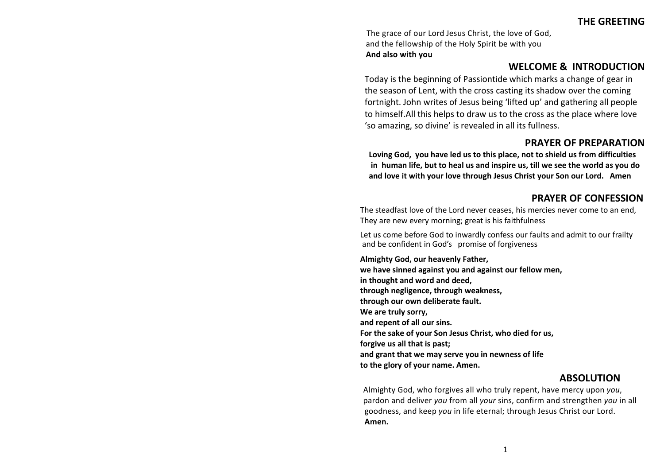**THE GREETING**

The grace of our Lord Jesus Christ, the love of God, and the fellowship of the Holy Spirit be with you **And also with you**

### **WELCOME & INTRODUCTION**

Today is the beginning of Passiontide which marks a change of gear in the season of Lent, with the cross casting its shadow over the coming fortnight. John writes of Jesus being 'lifted up' and gathering all people to himself.All this helps to draw us to the cross as the place where love 'so amazing, so divine' is revealed in all its fullness.

## **PRAYER OF PREPARATION**

**Loving God, you have led us to this place, not to shield us from difficulties in human life, but to heal us and inspire us, till we see the world as you do and love it with your love through Jesus Christ your Son our Lord. Amen** 

# **PRAYER OF CONFESSION**

The steadfast love of the Lord never ceases, his mercies never come to an end, They are new every morning; great is his faithfulness

Let us come before God to inwardly confess our faults and admit to our frailty and be confident in God's promise of forgiveness

**Almighty God, our heavenly Father, we have sinned against you and against our fellow men, in thought and word and deed, through negligence, through weakness, through our own deliberate fault. We are truly sorry, and repent of all our sins. For the sake of your Son Jesus Christ, who died for us, forgive us all that is past; and grant that we may serve you in newness of life to the glory of your name. Amen.**

## **ABSOLUTION**

Almighty God, who forgives all who truly repent, have mercy upon *you*, pardon and deliver *you* from all *your* sins, confirm and strengthen *you* in all goodness, and keep *you* in life eternal; through Jesus Christ our Lord. **Amen.**